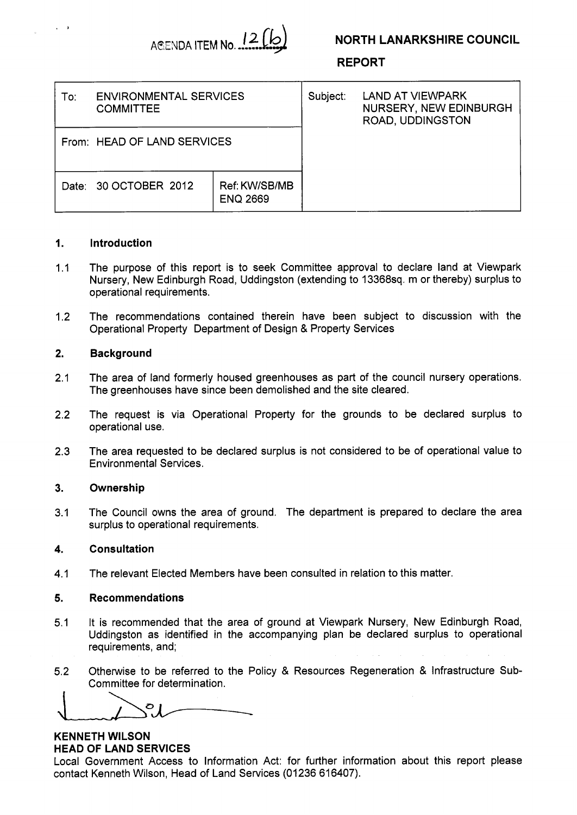

# **NORTH LANARKSHIRE COUNCIL**

**REPORT** 

| To: | <b>ENVIRONMENTAL SERVICES</b><br><b>COMMITTEE</b> |                                  | Subject: | <b>LAND AT VIEWPARK</b><br>NURSERY, NEW EDINBURGH<br><b>ROAD, UDDINGSTON</b> |
|-----|---------------------------------------------------|----------------------------------|----------|------------------------------------------------------------------------------|
|     | From: HEAD OF LAND SERVICES                       |                                  |          |                                                                              |
|     | Date: 30 OCTOBER 2012                             | Ref: KW/SB/MB<br><b>ENQ 2669</b> |          |                                                                              |

## **1. Introduction**

 $\mathcal{L} \subset \mathcal{L}$ 

- $1.1$ The purpose of this report is to seek Committee approval to declare land at Viewpark Nursery, New Edinburgh Road, Uddingston (extending to 13368sq. m or thereby) surplus to operational requirements.
- 1.2 The recommendations contained therein have been subject to discussion with the Operational Property Department of Design & Property Services

### **2. Background**

- 2.1 The area of land formerly housed greenhouses as part of the council nursery operations. The greenhouses have since been demolished and the site cleared.
- 2.2 The request is via Operational Property for the grounds to be declared surplus to operational use.
- 2.3 The area requested to be declared surplus is not considered to be of operational value to Environmental Services.

#### **3. Ownership**

3.1 The Council owns the area of ground. The department is prepared to declare the area surplus to operational requirements.

#### **4. Consultation**

4.1 The relevant Elected Members have been consulted in relation to this matter.

#### **5. Recommendations**

- 5.1 It is recommended that the area of ground at Viewpark Nursery, New Edinburgh Road, Uddingston as identified in the accompanying plan be declared surplus to operational requirements, and;
- 5.2 Otherwise to be referred to the Policy & Resources Regeneration & Infrastructure Subcommittee for determination.

 $\overset{\circ}{\mathcal{C}}$ 

**KENNETH WILSON HEAD OF LAND SERVICES** 

Local Government Access to Information Act: for further information about this report please contact Kenneth Wilson, Head of Land Services (01236 616407).